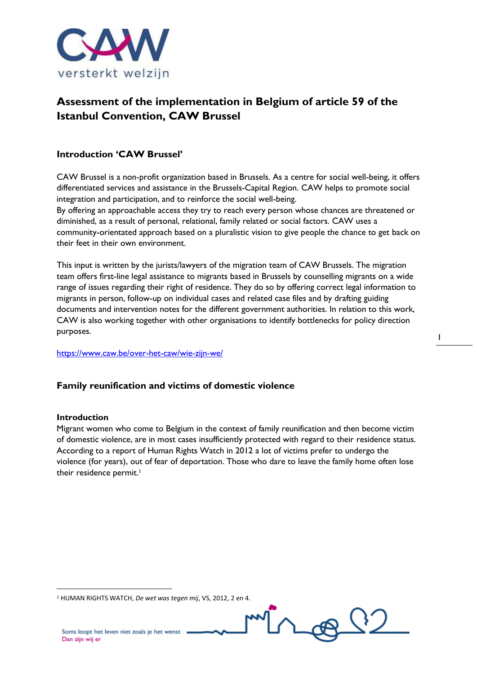

# **Assessment of the implementation in Belgium of article 59 of the Istanbul Convention, CAW Brussel**

#### **Introduction 'CAW Brussel'**

CAW Brussel is a non-profit organization based in Brussels. As a centre for social well-being, it offers differentiated services and assistance in the Brussels-Capital Region. CAW helps to promote social integration and participation, and to reinforce the social well-being.

By offering an approachable access they try to reach every person whose chances are threatened or diminished, as a result of personal, relational, family related or social factors. CAW uses a community-orientated approach based on a pluralistic vision to give people the chance to get back on their feet in their own environment.

This input is written by the jurists/lawyers of the migration team of CAW Brussels. The migration team offers first-line legal assistance to migrants based in Brussels by counselling migrants on a wide range of issues regarding their right of residence. They do so by offering correct legal information to migrants in person, follow-up on individual cases and related case files and by drafting guiding documents and intervention notes for the different government authorities. In relation to this work, CAW is also working together with other organisations to identify bottlenecks for policy direction purposes.

<https://www.caw.be/over-het-caw/wie-zijn-we/>

#### **Family reunification and victims of domestic violence**

#### **Introduction**

1

Migrant women who come to Belgium in the context of family reunification and then become victim of domestic violence, are in most cases insufficiently protected with regard to their residence status. According to a report of Human Rights Watch in 2012 a lot of victims prefer to undergo the violence (for years), out of fear of deportation. Those who dare to leave the family home often lose their residence permit.<sup>1</sup>



<sup>1</sup> HUMAN RIGHTS WATCH, *De wet was tegen mij*, VS, 2012, 2 en 4.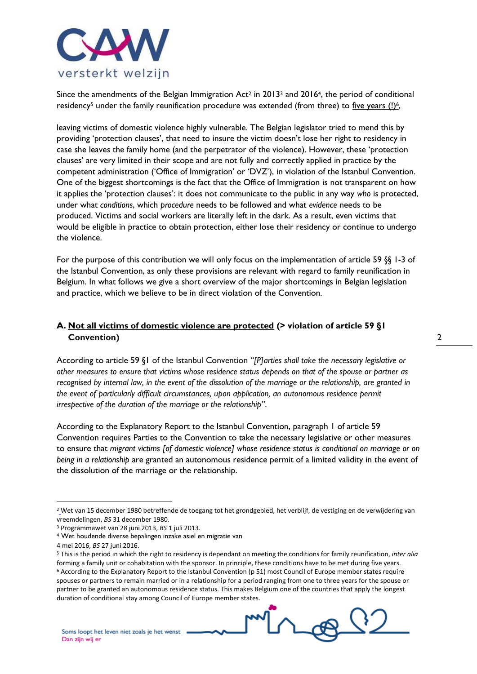

Since the amendments of the Belgian Immigration Act<sup>2</sup> in 2013<sup>3</sup> and 2016<sup>4</sup>, the period of conditional residency<sup>5</sup> under the family reunification procedure was extended (from three) to five years (!)<sup>6</sup>,

leaving victims of domestic violence highly vulnerable. The Belgian legislator tried to mend this by providing 'protection clauses', that need to insure the victim doesn't lose her right to residency in case she leaves the family home (and the perpetrator of the violence). However, these 'protection clauses' are very limited in their scope and are not fully and correctly applied in practice by the competent administration ('Office of Immigration' or 'DVZ'), in violation of the Istanbul Convention. One of the biggest shortcomings is the fact that the Office of Immigration is not transparent on how it applies the 'protection clauses': it does not communicate to the public in any way *who* is protected, under what *conditions*, which *procedure* needs to be followed and what *evidence* needs to be produced. Victims and social workers are literally left in the dark. As a result, even victims that would be eligible in practice to obtain protection, either lose their residency or continue to undergo the violence.

For the purpose of this contribution we will only focus on the implementation of article 59 §§ 1-3 of the Istanbul Convention, as only these provisions are relevant with regard to family reunification in Belgium. In what follows we give a short overview of the major shortcomings in Belgian legislation and practice, which we believe to be in direct violation of the Convention.

# **A. Not all victims of domestic violence are protected (> violation of article 59 §1 Convention)**

According to article 59 §1 of the Istanbul Convention *"[P]arties shall take the necessary legislative or other measures to ensure that victims whose residence status depends on that of the spouse or partner as recognised by internal law, in the event of the dissolution of the marriage or the relationship, are granted in the event of particularly difficult circumstances, upon application, an autonomous residence permit irrespective of the duration of the marriage or the relationship"*.

2

According to the Explanatory Report to the Istanbul Convention, paragraph 1 of article 59 Convention requires Parties to the Convention to take the necessary legislative or other measures to ensure that *migrant victims [of domestic violence] whose residence status is conditional on marriage or on being in a relationship* are granted an autonomous residence permit of a limited validity in the event of the dissolution of the marriage or the relationship.

<sup>&</sup>lt;sup>2</sup> Wet van 15 december 1980 betreffende de toegang tot het grondgebied, het verblijf, de vestiging en de verwijdering van vreemdelingen, *BS* 31 december 1980.

<sup>3</sup> Programmawet van 28 juni 2013, *BS* 1 juli 2013.

<sup>4</sup> Wet houdende diverse bepalingen inzake asiel en migratie van

<sup>4</sup> mei 2016, *BS* 27 juni 2016.

<sup>5</sup> This is the period in which the right to residency is dependant on meeting the conditions for family reunification, *inter alia* forming a family unit or cohabitation with the sponsor. In principle, these conditions have to be met during five years. <sup>6</sup> According to the Explanatory Report to the Istanbul Convention (p 51) most Council of Europe member states require spouses or partners to remain married or in a relationship for a period ranging from one to three years for the spouse or partner to be granted an autonomous residence status. This makes Belgium one of the countries that apply the longest duration of conditional stay among Council of Europe member states.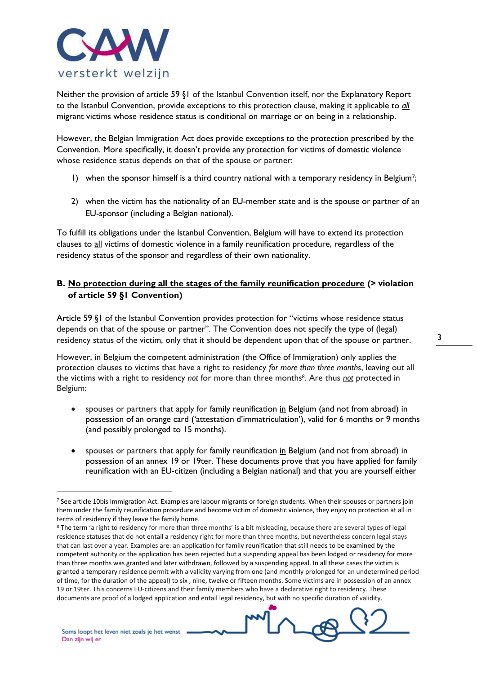

Neither the provision of article 59 §1 of the Istanbul Convention itself, nor the Explanatory Report to the Istanbul Convention, provide exceptions to this protection clause, making it applicable to *all* migrant victims whose residence status is conditional on marriage or on being in a relationship.

However, the Belgian Immigration Act does provide exceptions to the protection prescribed by the Convention. More specifically, it doesn't provide any protection for victims of domestic violence whose residence status depends on that of the spouse or partner:

- 1) when the sponsor himself is a third country national with a temporary residency in Belgium7;
- 2) when the victim has the nationality of an EU-member state and is the spouse or partner of an EU-sponsor (including a Belgian national).

To fulfill its obligations under the Istanbul Convention, Belgium will have to extend its protection clauses to all victims of domestic violence in a family reunification procedure, regardless of the residency status of the sponsor and regardless of their own nationality.

### **B. No protection during all the stages of the family reunification procedure (> violation of article 59 §1 Convention)**

Article 59 §1 of the Istanbul Convention provides protection for "victims whose residence status depends on that of the spouse or partner". The Convention does not specify the type of (legal) residency status of the victim, only that it should be dependent upon that of the spouse or partner.

However, in Belgium the competent administration (the Office of Immigration) only applies the protection clauses to victims that have a right to residency *for more than three months*, leaving out all the victims with a right to residency *not* for more than three months8. Are thus *not* protected in Belgium:

- spouses or partners that apply for family reunification in Belgium (and not from abroad) in possession of an orange card ('attestation d'immatriculation'), valid for 6 months or 9 months (and possibly prolonged to 15 months).
- spouses or partners that apply for family reunification in Belgium (and not from abroad) in possession of an annex 19 or 19ter. These documents prove that you have applied for family reunification with an EU-citizen (including a Belgian national) and that you are yourself either

-



<sup>&</sup>lt;sup>7</sup> See article 10bis Immigration Act. Examples are labour migrants or foreign students. When their spouses or partners join them under the family reunification procedure and become victim of domestic violence, they enjoy no protection at all in terms of residency if they leave the family home.

<sup>8</sup> The term 'a right to residency for more than three months' is a bit misleading, because there are several types of legal residence statuses that do not entail a residency right for more than three months, but nevertheless concern legal stays that can last over a year. Examples are: an application for family reunification that still needs to be examined by the competent authority or the application has been rejected but a suspending appeal has been lodged or residency for more than three months was granted and later withdrawn, followed by a suspending appeal. In all these cases the victim is granted a temporary residence permit with a validity varying from one (and monthly prolonged for an undetermined period of time, for the duration of the appeal) to six , nine, twelve or fifteen months. Some victims are in possession of an annex 19 or 19ter. This concerns EU-citizens and their family members who have a declarative right to residency. These documents are proof of a lodged application and entail legal residency, but with no specific duration of validity.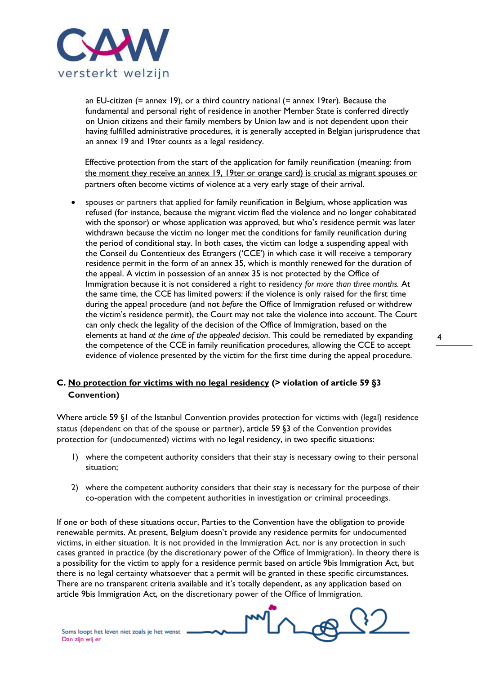

an EU-citizen (= annex 19), or a third country national (= annex 19ter). Because the fundamental and personal right of residence in another Member State is conferred directly on Union citizens and their family members by Union law and is not dependent upon their having fulfilled administrative procedures, it is generally accepted in Belgian jurisprudence that an annex 19 and 19ter counts as a legal residency.

Effective protection from the start of the application for family reunification (meaning: from the moment they receive an annex 19, 19ter or orange card) is crucial as migrant spouses or partners often become victims of violence at a very early stage of their arrival.

 spouses or partners that applied for family reunification in Belgium, whose application was refused (for instance, because the migrant victim fled the violence and no longer cohabitated with the sponsor) or whose application was approved, but who's residence permit was later withdrawn because the victim no longer met the conditions for family reunification during the period of conditional stay. In both cases, the victim can lodge a suspending appeal with the Conseil du Contentieux des Etrangers ('CCE') in which case it will receive a temporary residence permit in the form of an annex 35, which is monthly renewed for the duration of the appeal. A victim in possession of an annex 35 is not protected by the Office of Immigration because it is not considered a right to residency *for more than three months.* At the same time, the CCE has limited powers: if the violence is only raised for the first time during the appeal procedure (and not *before* the Office of Immigration refused or withdrew the victim's residence permit), the Court may not take the violence into account. The Court can only check the legality of the decision of the Office of Immigration, based on the elements at hand *at the time of the appealed decision*. This could be remediated by expanding the competence of the CCE in family reunification procedures, allowing the CCE to accept evidence of violence presented by the victim for the first time during the appeal procedure.

### **C. No protection for victims with no legal residency (> violation of article 59 §3 Convention)**

Where article 59 §1 of the Istanbul Convention provides protection for victims with (legal) residence status (dependent on that of the spouse or partner), article 59 §3 of the Convention provides protection for (undocumented) victims with no legal residency, in two specific situations:

- 1) where the competent authority considers that their stay is necessary owing to their personal situation;
- 2) where the competent authority considers that their stay is necessary for the purpose of their co-operation with the competent authorities in investigation or criminal proceedings.

If one or both of these situations occur, Parties to the Convention have the obligation to provide renewable permits. At present, Belgium doesn't provide any residence permits for undocumented victims, in either situation. It is not provided in the Immigration Act, nor is any protection in such cases granted in practice (by the discretionary power of the Office of Immigration). In theory there is a possibility for the victim to apply for a residence permit based on article 9bis Immigration Act, but there is no legal certainty whatsoever that a permit will be granted in these specific circumstances. There are no transparent criteria available and it's totally dependent, as any application based on article 9bis Immigration Act, on the discretionary power of the Office of Immigration.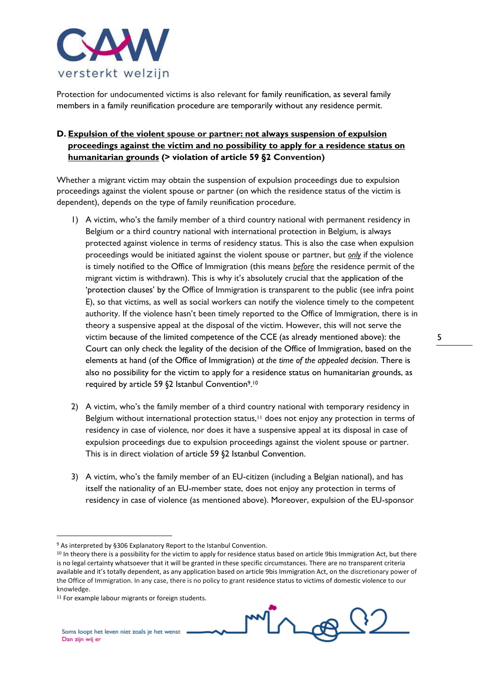

Protection for undocumented victims is also relevant for family reunification, as several family members in a family reunification procedure are temporarily without any residence permit.

# **D. Expulsion of the violent spouse or partner: not always suspension of expulsion proceedings against the victim and no possibility to apply for a residence status on humanitarian grounds (> violation of article 59 §2 Convention)**

Whether a migrant victim may obtain the suspension of expulsion proceedings due to expulsion proceedings against the violent spouse or partner (on which the residence status of the victim is dependent), depends on the type of family reunification procedure.

- 1) A victim, who's the family member of a third country national with permanent residency in Belgium or a third country national with international protection in Belgium, is always protected against violence in terms of residency status. This is also the case when expulsion proceedings would be initiated against the violent spouse or partner, but *only* if the violence is timely notified to the Office of Immigration (this means *before* the residence permit of the migrant victim is withdrawn). This is why it's absolutely crucial that the application of the 'protection clauses' by the Office of Immigration is transparent to the public (see infra point E), so that victims, as well as social workers can notify the violence timely to the competent authority. If the violence hasn't been timely reported to the Office of Immigration, there is in theory a suspensive appeal at the disposal of the victim. However, this will not serve the victim because of the limited competence of the CCE (as already mentioned above): the Court can only check the legality of the decision of the Office of Immigration, based on the elements at hand (of the Office of Immigration) *at the time of the appealed decision*. There is also no possibility for the victim to apply for a residence status on humanitarian grounds, as required by article 59 §2 Istanbul Convention9. 10
- 2) A victim, who's the family member of a third country national with temporary residency in Belgium without international protection status,<sup>11</sup> does not enjoy any protection in terms of residency in case of violence, nor does it have a suspensive appeal at its disposal in case of expulsion proceedings due to expulsion proceedings against the violent spouse or partner. This is in direct violation of article 59 §2 Istanbul Convention.
- 3) A victim, who's the family member of an EU-citizen (including a Belgian national), and has itself the nationality of an EU-member state, does not enjoy any protection in terms of residency in case of violence (as mentioned above). Moreover, expulsion of the EU-sponsor



<sup>9</sup> As interpreted by §306 Explanatory Report to the Istanbul Convention.

<sup>&</sup>lt;sup>10</sup> In theory there is a possibility for the victim to apply for residence status based on article 9bis Immigration Act, but there is no legal certainty whatsoever that it will be granted in these specific circumstances. There are no transparent criteria available and it's totally dependent, as any application based on article 9bis Immigration Act, on the discretionary power of the Office of Immigration. In any case, there is no policy to grant residence status to victims of domestic violence to our knowledge.

<sup>&</sup>lt;sup>11</sup> For example labour migrants or foreign students.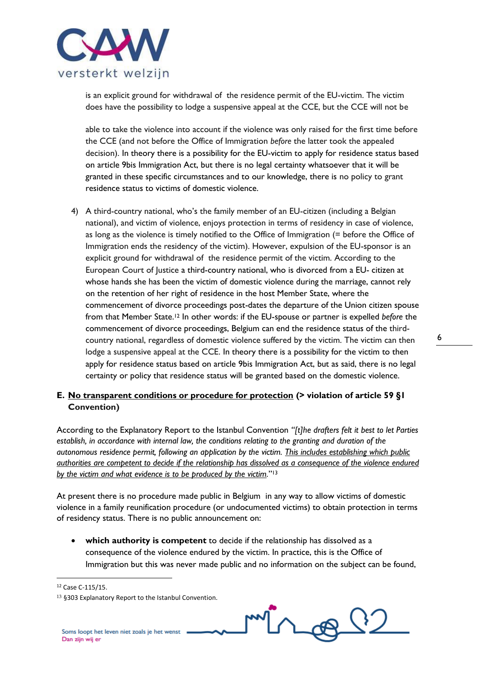

is an explicit ground for withdrawal of the residence permit of the EU-victim. The victim does have the possibility to lodge a suspensive appeal at the CCE, but the CCE will not be

able to take the violence into account if the violence was only raised for the first time before the CCE (and not before the Office of Immigration *before* the latter took the appealed decision). In theory there is a possibility for the EU-victim to apply for residence status based on article 9bis Immigration Act, but there is no legal certainty whatsoever that it will be granted in these specific circumstances and to our knowledge, there is no policy to grant residence status to victims of domestic violence.

4) A third-country national, who's the family member of an EU-citizen (including a Belgian national), and victim of violence, enjoys protection in terms of residency in case of violence, as long as the violence is timely notified to the Office of Immigration (= before the Office of Immigration ends the residency of the victim). However, expulsion of the EU-sponsor is an explicit ground for withdrawal of the residence permit of the victim. According to the European Court of Justice a third-country national, who is divorced from a EU- citizen at whose hands she has been the victim of domestic violence during the marriage, cannot rely on the retention of her right of residence in the host Member State, where the commencement of divorce proceedings post-dates the departure of the Union citizen spouse from that Member State.<sup>12</sup> In other words: if the EU-spouse or partner is expelled *before* the commencement of divorce proceedings, Belgium can end the residence status of the thirdcountry national, regardless of domestic violence suffered by the victim. The victim can then lodge a suspensive appeal at the CCE. In theory there is a possibility for the victim to then apply for residence status based on article 9bis Immigration Act, but as said, there is no legal certainty or policy that residence status will be granted based on the domestic violence.

### **E. No transparent conditions or procedure for protection (> violation of article 59 §1 Convention)**

According to the Explanatory Report to the Istanbul Convention *"[t]he drafters felt it best to let Parties establish, in accordance with internal law, the conditions relating to the granting and duration of the autonomous residence permit, following an application by the victim. This includes establishing which public authorities are competent to decide if the relationship has dissolved as a consequence of the violence endured by the victim and what evidence is to be produced by the victim.*" 13

At present there is no procedure made public in Belgium in any way to allow victims of domestic violence in a family reunification procedure (or undocumented victims) to obtain protection in terms of residency status. There is no public announcement on:

 **which authority is competent** to decide if the relationship has dissolved as a consequence of the violence endured by the victim. In practice, this is the Office of Immigration but this was never made public and no information on the subject can be found,

<sup>12</sup> Case C-115/15.

<sup>13</sup> §303 Explanatory Report to the Istanbul Convention.